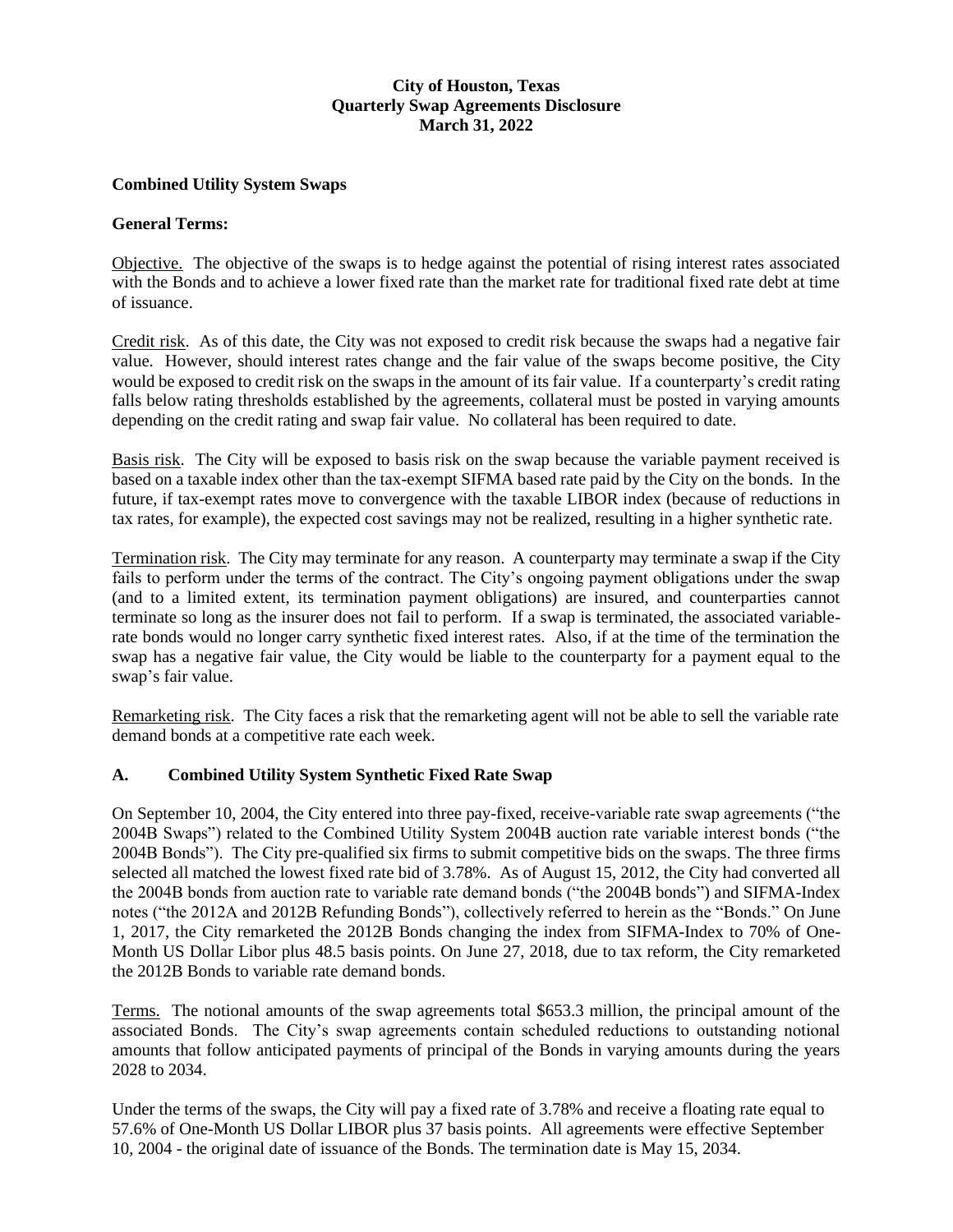# **City of Houston, Texas Quarterly Swap Agreements Disclosure March 31, 2022**

### **Combined Utility System Swaps**

#### **General Terms:**

Objective. The objective of the swaps is to hedge against the potential of rising interest rates associated with the Bonds and to achieve a lower fixed rate than the market rate for traditional fixed rate debt at time of issuance.

Credit risk. As of this date, the City was not exposed to credit risk because the swaps had a negative fair value. However, should interest rates change and the fair value of the swaps become positive, the City would be exposed to credit risk on the swaps in the amount of its fair value. If a counterparty's credit rating falls below rating thresholds established by the agreements, collateral must be posted in varying amounts depending on the credit rating and swap fair value. No collateral has been required to date.

Basis risk. The City will be exposed to basis risk on the swap because the variable payment received is based on a taxable index other than the tax-exempt SIFMA based rate paid by the City on the bonds. In the future, if tax-exempt rates move to convergence with the taxable LIBOR index (because of reductions in tax rates, for example), the expected cost savings may not be realized, resulting in a higher synthetic rate.

Termination risk. The City may terminate for any reason. A counterparty may terminate a swap if the City fails to perform under the terms of the contract. The City's ongoing payment obligations under the swap (and to a limited extent, its termination payment obligations) are insured, and counterparties cannot terminate so long as the insurer does not fail to perform. If a swap is terminated, the associated variablerate bonds would no longer carry synthetic fixed interest rates. Also, if at the time of the termination the swap has a negative fair value, the City would be liable to the counterparty for a payment equal to the swap's fair value.

Remarketing risk. The City faces a risk that the remarketing agent will not be able to sell the variable rate demand bonds at a competitive rate each week.

#### **A. Combined Utility System Synthetic Fixed Rate Swap**

On September 10, 2004, the City entered into three pay-fixed, receive-variable rate swap agreements ("the 2004B Swaps") related to the Combined Utility System 2004B auction rate variable interest bonds ("the 2004B Bonds"). The City pre-qualified six firms to submit competitive bids on the swaps. The three firms selected all matched the lowest fixed rate bid of 3.78%. As of August 15, 2012, the City had converted all the 2004B bonds from auction rate to variable rate demand bonds ("the 2004B bonds") and SIFMA-Index notes ("the 2012A and 2012B Refunding Bonds"), collectively referred to herein as the "Bonds." On June 1, 2017, the City remarketed the 2012B Bonds changing the index from SIFMA-Index to 70% of One-Month US Dollar Libor plus 48.5 basis points. On June 27, 2018, due to tax reform, the City remarketed the 2012B Bonds to variable rate demand bonds.

Terms. The notional amounts of the swap agreements total \$653.3 million, the principal amount of the associated Bonds. The City's swap agreements contain scheduled reductions to outstanding notional amounts that follow anticipated payments of principal of the Bonds in varying amounts during the years 2028 to 2034.

Under the terms of the swaps, the City will pay a fixed rate of 3.78% and receive a floating rate equal to 57.6% of One-Month US Dollar LIBOR plus 37 basis points. All agreements were effective September 10, 2004 - the original date of issuance of the Bonds. The termination date is May 15, 2034.